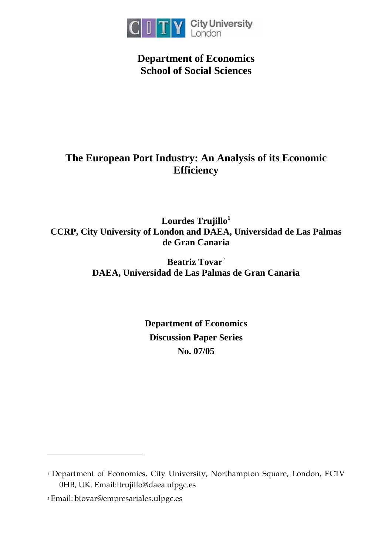

**Department of Economics School of Social Sciences** 

# **The European Port Industry: An Analysis of its Economic Efficiency**

**Lourdes Trujillo[1](#page-0-0) CCRP, City University of London and DAEA, Universidad de Las Palmas de Gran Canaria** 

> **Beatriz Tovar**[2](#page-0-1) **DAEA, Universidad de Las Palmas de Gran Canaria**

> > **Department of Economics Discussion Paper Series No. 07/05**

 $\overline{a}$ 

<span id="page-0-0"></span><sup>&</sup>lt;sup>1</sup> Department of Economics, City University, Northampton Square, London, EC1V 0HB, UK. Email:ltrujillo@daea.ulpgc.es

<span id="page-0-1"></span><sup>2</sup> Email: btovar@empresariales.ulpgc.es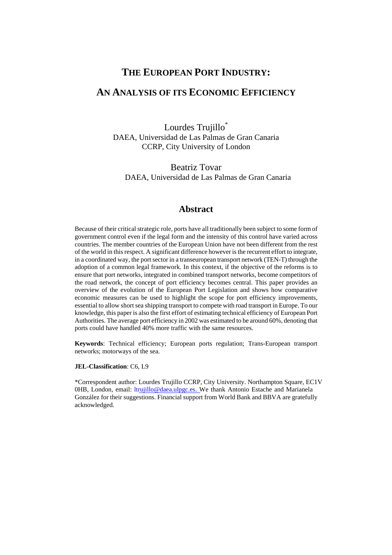## **THE EUROPEAN PORT INDUSTRY:**

## **AN ANALYSIS OF ITS ECONOMIC EFFICIENCY**

Lourdes Trujillo<sup>\*</sup> DAEA, Universidad de Las Palmas de Gran Canaria CCRP, City University of London

Beatriz Tovar DAEA, Universidad de Las Palmas de Gran Canaria

## **Abstract**

Because of their critical strategic role, ports have all traditionally been subject to some form of government control even if the legal form and the intensity of this control have varied across countries. The member countries of the European Union have not been different from the rest of the world in this respect. A significant difference however is the recurrent effort to integrate, in a coordinated way, the port sector in a transeuropean transport network (TEN-T) through the adoption of a common legal framework. In this context, if the objective of the reforms is to ensure that port networks, integrated in combined transport networks, become competitors of the road network, the concept of port efficiency becomes central. This paper provides an overview of the evolution of the European Port Legislation and shows how comparative economic measures can be used to highlight the scope for port efficiency improvements, essential to allow short sea shipping transport to compete with road transport in Europe. To our knowledge, this paper is also the first effort of estimating technical efficiency of European Port Authorities. The average port efficiency in 2002 was estimated to be around 60%, denoting that ports could have handled 40% more traffic with the same resources.

**Keywords**: Technical efficiency; European ports regulation; Trans-European transport networks; motorways of the sea.

## **JEL-Classification**: C6, L9

\*Correspondent author: Lourdes Trujillo CCRP, City University. Northampton Square, EC1V 0HB, London, email: lt[rujillo@daea.ulpgc.es. W](mailto:ltrujillo@daea.ulpgc.es)e thank Antonio Estache and Marianela González for their suggestions. Financial support from World Bank and BBVA are gratefully acknowledged.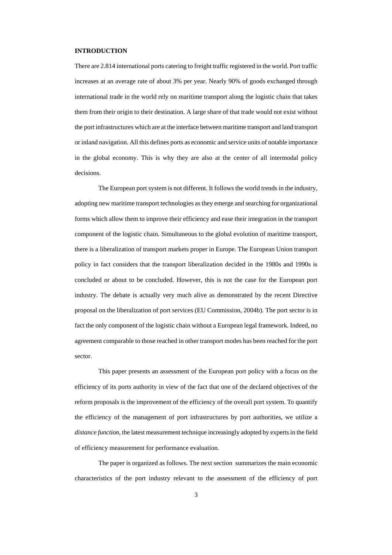### **INTRODUCTION**

There are 2.814 international ports catering to freight traffic registered in the world. Port traffic increases at an average rate of about 3% per year. Nearly 90% of goods exchanged through international trade in the world rely on maritime transport along the logistic chain that takes them from their origin to their destination. A large share of that trade would not exist without the port infrastructures which are at the interface between maritime transport and land transport or inland navigation. All this defines ports as economic and service units of notable importance in the global economy. This is why they are also at the center of all intermodal policy decisions.

The European port system is not different. It follows the world trends in the industry, adopting new maritime transport technologies as they emerge and searching for organizational forms which allow them to improve their efficiency and ease their integration in the transport component of the logistic chain. Simultaneous to the global evolution of maritime transport, there is a liberalization of transport markets proper in Europe. The European Union transport policy in fact considers that the transport liberalization decided in the 1980s and 1990s is concluded or about to be concluded. However, this is not the case for the European port industry. The debate is actually very much alive as demonstrated by the recent Directive proposal on the liberalization of port services (EU Commission, 2004b). The port sector is in fact the only component of the logistic chain without a European legal framework. Indeed, no agreement comparable to those reached in other transport modes has been reached for the port sector.

This paper presents an assessment of the European port policy with a focus on the efficiency of its ports authority in view of the fact that one of the declared objectives of the reform proposals is the improvement of the efficiency of the overall port system. To quantify the efficiency of the management of port infrastructures by port authorities, we utilize a *distance function*, the latest measurement technique increasingly adopted by experts in the field of efficiency measurement for performance evaluation.

The paper is organized as follows. The next section summarizes the main economic characteristics of the port industry relevant to the assessment of the efficiency of port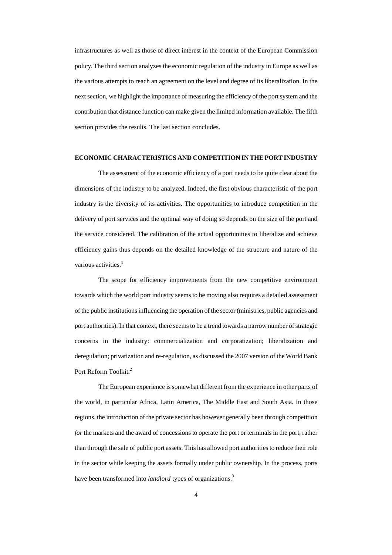infrastructures as well as those of direct interest in the context of the European Commission policy. The third section analyzes the economic regulation of the industry in Europe as well as the various attempts to reach an agreement on the level and degree of its liberalization. In the next section, we highlight the importance of measuring the efficiency of the port system and the contribution that distance function can make given the limited information available. The fifth section provides the results. The last section concludes.

#### **ECONOMIC CHARACTERISTICS AND COMPETITION IN THE PORT INDUSTRY**

The assessment of the economic efficiency of a port needs to be quite clear about the dimensions of the industry to be analyzed. Indeed, the first obvious characteristic of the port industry is the diversity of its activities. The opportunities to introduce competition in the delivery of port services and the optimal way of doing so depends on the size of the port and the service considered. The calibration of the actual opportunities to liberalize and achieve efficiency gains thus depends on the detailed knowledge of the structure and nature of the various activities. $<sup>1</sup>$  $<sup>1</sup>$  $<sup>1</sup>$ </sup>

The scope for efficiency improvements from the new competitive environment towards which the world port industry seems to be moving also requires a detailed assessment of the public institutions influencing the operation of the sector (ministries, public agencies and port authorities). In that context, there seems to be a trend towards a narrow number of strategic concerns in the industry: commercialization and corporatization; liberalization and deregulation; privatization and re-regulation, as discussed the 2007 version of the World Bank Port Reform Toolkit.<sup>2</sup>

The European experience is somewhat different from the experience in other parts of the world, in particular Africa, Latin America, The Middle East and South Asia. In those regions, the introduction of the private sector has however generally been through competition *for* the markets and the award of concessions to operate the port or terminals in the port, rather than through the sale of public port assets. This has allowed port authorities to reduce their role in the sector while keeping the assets formally under public ownership. In the process, ports have been transformed into *landlord* types of organizations.<sup>3</sup>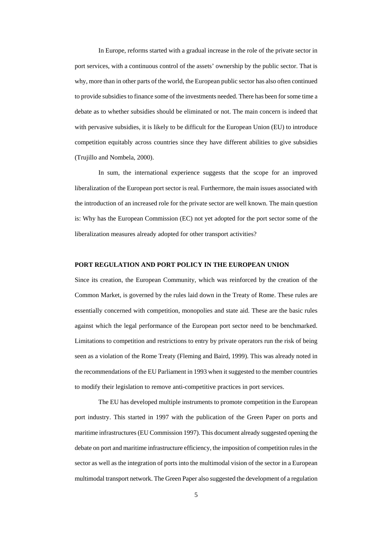In Europe, reforms started with a gradual increase in the role of the private sector in port services, with a continuous control of the assets' ownership by the public sector. That is why, more than in other parts of the world, the European public sector has also often continued to provide subsidies to finance some of the investments needed. There has been for some time a debate as to whether subsidies should be eliminated or not. The main concern is indeed that with pervasive subsidies, it is likely to be difficult for the European Union (EU) to introduce competition equitably across countries since they have different abilities to give subsidies (Trujillo and Nombela, 2000).

In sum, the international experience suggests that the scope for an improved liberalization of the European port sector is real. Furthermore, the main issues associated with the introduction of an increased role for the private sector are well known. The main question is: Why has the European Commission (EC) not yet adopted for the port sector some of the liberalization measures already adopted for other transport activities?

#### **PORT REGULATION AND PORT POLICY IN THE EUROPEAN UNION**

Since its creation, the European Community, which was reinforced by the creation of the Common Market, is governed by the rules laid down in the Treaty of Rome. These rules are essentially concerned with competition, monopolies and state aid. These are the basic rules against which the legal performance of the European port sector need to be benchmarked. Limitations to competition and restrictions to entry by private operators run the risk of being seen as a violation of the Rome Treaty (Fleming and Baird, 1999). This was already noted in the recommendations of the EU Parliament in 1993 when it suggested to the member countries to modify their legislation to remove anti-competitive practices in port services.

The EU has developed multiple instruments to promote competition in the European port industry. This started in 1997 with the publication of the Green Paper on ports and maritime infrastructures (EU Commission 1997). This document already suggested opening the debate on port and maritime infrastructure efficiency, the imposition of competition rules in the sector as well as the integration of ports into the multimodal vision of the sector in a European multimodal transport network. The Green Paper also suggested the development of a regulation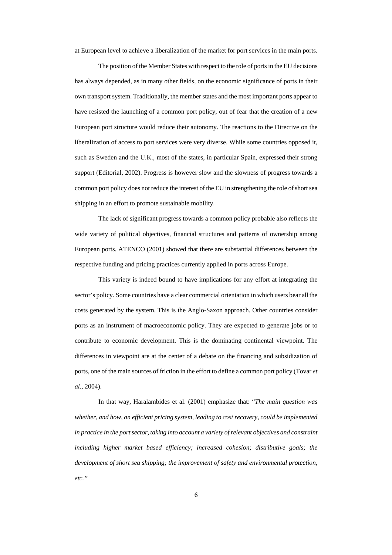at European level to achieve a liberalization of the market for port services in the main ports.

The position of the Member States with respect to the role of ports in the EU decisions has always depended, as in many other fields, on the economic significance of ports in their own transport system. Traditionally, the member states and the most important ports appear to have resisted the launching of a common port policy, out of fear that the creation of a new European port structure would reduce their autonomy. The reactions to the Directive on the liberalization of access to port services were very diverse. While some countries opposed it, such as Sweden and the U.K., most of the states, in particular Spain, expressed their strong support (Editorial, 2002). Progress is however slow and the slowness of progress towards a common port policy does not reduce the interest of the EU in strengthening the role of short sea shipping in an effort to promote sustainable mobility.

The lack of significant progress towards a common policy probable also reflects the wide variety of political objectives, financial structures and patterns of ownership among European ports. ATENCO (2001) showed that there are substantial differences between the respective funding and pricing practices currently applied in ports across Europe.

This variety is indeed bound to have implications for any effort at integrating the sector's policy. Some countries have a clear commercial orientation in which users bear all the costs generated by the system. This is the Anglo-Saxon approach. Other countries consider ports as an instrument of macroeconomic policy. They are expected to generate jobs or to contribute to economic development. This is the dominating continental viewpoint. The differences in viewpoint are at the center of a debate on the financing and subsidization of ports, one of the main sources of friction in the effort to define a common port policy (Tovar *et al*., 2004).

In that way, Haralambides et al. (2001) emphasize that: "*The main question was whether, and how, an efficient pricing system, leading to cost recovery, could be implemented in practice in the port sector, taking into account a variety of relevant objectives and constraint including higher market based efficiency; increased cohesion; distributive goals; the development of short sea shipping; the improvement of safety and environmental protection, etc."*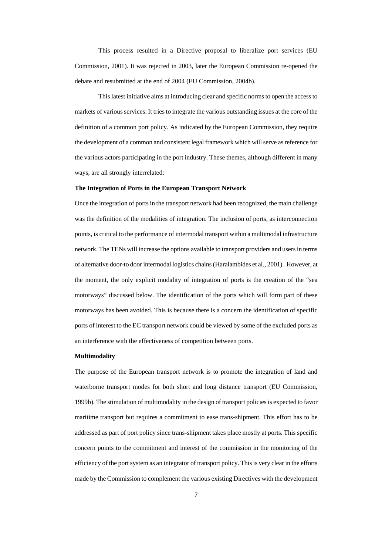This process resulted in a Directive proposal to liberalize port services (EU Commission, 2001). It was rejected in 2003, later the European Commission re-opened the debate and resubmitted at the end of 2004 (EU Commission, 2004b).

This latest initiative aims at introducing clear and specific norms to open the access to markets of various services. It tries to integrate the various outstanding issues at the core of the definition of a common port policy. As indicated by the European Commission, they require the development of a common and consistent legal framework which will serve as reference for the various actors participating in the port industry. These themes, although different in many ways, are all strongly interrelated:

#### **The Integration of Ports in the European Transport Network**

Once the integration of ports in the transport network had been recognized, the main challenge was the definition of the modalities of integration. The inclusion of ports, as interconnection points, is critical to the performance of intermodal transport within a multimodal infrastructure network. The TENs will increase the options available to transport providers and users in terms of alternative door-to door intermodal logistics chains (Haralambides et al., 2001). However, at the moment, the only explicit modality of integration of ports is the creation of the "sea motorways" discussed below. The identification of the ports which will form part of these motorways has been avoided. This is because there is a concern the identification of specific ports of interest to the EC transport network could be viewed by some of the excluded ports as an interference with the effectiveness of competition between ports.

#### **Multimodality**

The purpose of the European transport network is to promote the integration of land and waterborne transport modes for both short and long distance transport (EU Commission, 1999b). The stimulation of multimodality in the design of transport policies is expected to favor maritime transport but requires a commitment to ease trans-shipment. This effort has to be addressed as part of port policy since trans-shipment takes place mostly at ports. This specific concern points to the commitment and interest of the commission in the monitoring of the efficiency of the port system as an integrator of transport policy. This is very clear in the efforts made by the Commission to complement the various existing Directives with the development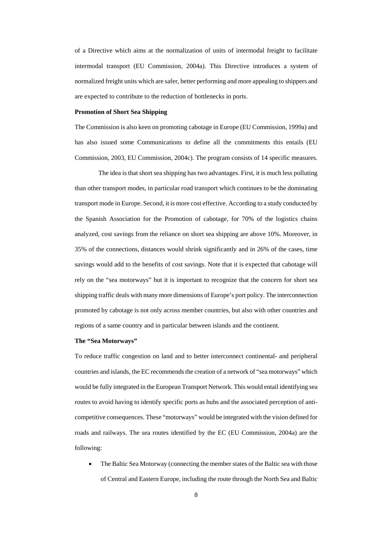of a Directive which aims at the normalization of units of intermodal freight to facilitate intermodal transport (EU Commission, 2004a). This Directive introduces a system of normalized freight units which are safer, better performing and more appealing to shippers and are expected to contribute to the reduction of bottlenecks in ports.

#### **Promotion of Short Sea Shipping**

The Commission is also keen on promoting cabotage in Europe (EU Commission, 1999a) and has also issued some Communications to define all the commitments this entails (EU Commission, 2003, EU Commission, 2004c). The program consists of 14 specific measures.

The idea is that short sea shipping has two advantages. First, it is much less polluting than other transport modes, in particular road transport which continues to be the dominating transport mode in Europe. Second, it is more cost effective. According to a study conducted by the Spanish Association for the Promotion of cabotage, for 70% of the logistics chains analyzed, cost savings from the reliance on short sea shipping are above 10%. Moreover, in 35% of the connections, distances would shrink significantly and in 26% of the cases, time savings would add to the benefits of cost savings. Note that it is expected that cabotage will rely on the "sea motorways" but it is important to recognize that the concern for short sea shipping traffic deals with many more dimensions of Europe's port policy. The interconnection promoted by cabotage is not only across member countries, but also with other countries and regions of a same country and in particular between islands and the continent.

#### **The "Sea Motorways"**

To reduce traffic congestion on land and to better interconnect continental- and peripheral countries and islands, the EC recommends the creation of a network of "sea motorways" which would be fully integrated in the European Transport Network. This would entail identifying sea routes to avoid having to identify specific ports as hubs and the associated perception of anticompetitive consequences. These "motorways" would be integrated with the vision defined for roads and railways. The sea routes identified by the EC (EU Commission, 2004a) are the following:

The Baltic Sea Motorway (connecting the member states of the Baltic sea with those of Central and Eastern Europe, including the route through the North Sea and Baltic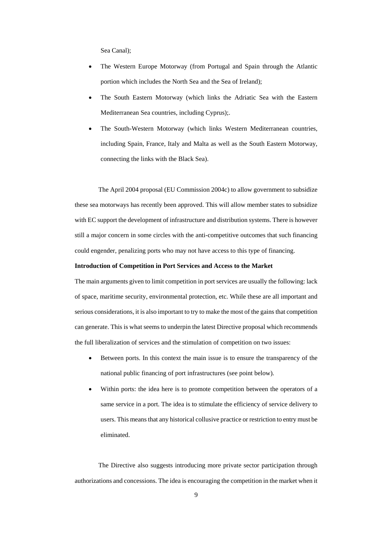Sea Canal);

- The Western Europe Motorway (from Portugal and Spain through the Atlantic portion which includes the North Sea and the Sea of Ireland);
- The South Eastern Motorway (which links the Adriatic Sea with the Eastern Mediterranean Sea countries, including Cyprus);.
- The South-Western Motorway (which links Western Mediterranean countries, including Spain, France, Italy and Malta as well as the South Eastern Motorway, connecting the links with the Black Sea).

The April 2004 proposal (EU Commission 2004c) to allow government to subsidize these sea motorways has recently been approved. This will allow member states to subsidize with EC support the development of infrastructure and distribution systems. There is however still a major concern in some circles with the anti-competitive outcomes that such financing could engender, penalizing ports who may not have access to this type of financing.

## **Introduction of Competition in Port Services and Access to the Market**

The main arguments given to limit competition in port services are usually the following: lack of space, maritime security, environmental protection, etc. While these are all important and serious considerations, it is also important to try to make the most of the gains that competition can generate. This is what seems to underpin the latest Directive proposal which recommends the full liberalization of services and the stimulation of competition on two issues:

- Between ports. In this context the main issue is to ensure the transparency of the national public financing of port infrastructures (see point below).
- Within ports: the idea here is to promote competition between the operators of a same service in a port. The idea is to stimulate the efficiency of service delivery to users. This means that any historical collusive practice or restriction to entry must be eliminated.

The Directive also suggests introducing more private sector participation through authorizations and concessions. The idea is encouraging the competition in the market when it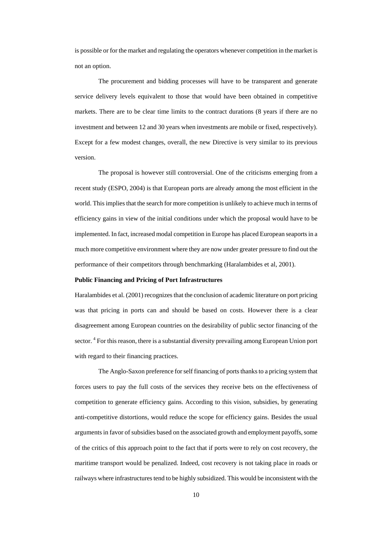is possible or for the market and regulating the operators whenever competition in the market is not an option.

The procurement and bidding processes will have to be transparent and generate service delivery levels equivalent to those that would have been obtained in competitive markets. There are to be clear time limits to the contract durations (8 years if there are no investment and between 12 and 30 years when investments are mobile or fixed, respectively). Except for a few modest changes, overall, the new Directive is very similar to its previous version.

The proposal is however still controversial. One of the criticisms emerging from a recent study (ESPO, 2004) is that European ports are already among the most efficient in the world. This implies that the search for more competition is unlikely to achieve much in terms of efficiency gains in view of the initial conditions under which the proposal would have to be implemented. In fact, increased modal competition in Europe has placed European seaports in a much more competitive environment where they are now under greater pressure to find out the performance of their competitors through benchmarking (Haralambides et al, 2001).

### **Public Financing and Pricing of Port Infrastructures**

Haralambides et al. (2001) recognizes that the conclusion of academic literature on port pricing was that pricing in ports can and should be based on costs. However there is a clear disagreement among European countries on the desirability of public sector financing of the sector.<sup>4</sup> For this reason, there is a substantial diversity prevailing among European Union port with regard to their financing practices.

The Anglo-Saxon preference for self financing of ports thanks to a pricing system that forces users to pay the full costs of the services they receive bets on the effectiveness of competition to generate efficiency gains. According to this vision, subsidies, by generating anti-competitive distortions, would reduce the scope for efficiency gains. Besides the usual arguments in favor of subsidies based on the associated growth and employment payoffs, some of the critics of this approach point to the fact that if ports were to rely on cost recovery, the maritime transport would be penalized. Indeed, cost recovery is not taking place in roads or railways where infrastructures tend to be highly subsidized. This would be inconsistent with the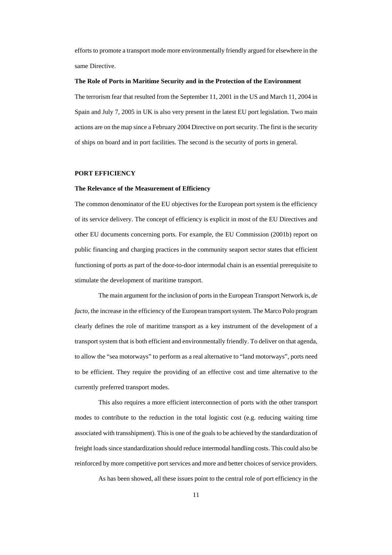efforts to promote a transport mode more environmentally friendly argued for elsewhere in the same Directive.

#### **The Role of Ports in Maritime Security and in the Protection of the Environment**

The terrorism fear that resulted from the September 11, 2001 in the US and March 11, 2004 in Spain and July 7, 2005 in UK is also very present in the latest EU port legislation. Two main actions are on the map since a February 2004 Directive on port security. The first is the security of ships on board and in port facilities. The second is the security of ports in general.

### **PORT EFFICIENCY**

#### **The Relevance of the Measurement of Efficiency**

The common denominator of the EU objectives for the European port system is the efficiency of its service delivery. The concept of efficiency is explicit in most of the EU Directives and other EU documents concerning ports. For example, the EU Commission (2001b) report on public financing and charging practices in the community seaport sector states that efficient functioning of ports as part of the door-to-door intermodal chain is an essential prerequisite to stimulate the development of maritime transport.

The main argument for the inclusion of ports in the European Transport Network is, *de facto*, the increase in the efficiency of the European transport system. The Marco Polo program clearly defines the role of maritime transport as a key instrument of the development of a transport system that is both efficient and environmentally friendly. To deliver on that agenda, to allow the "sea motorways" to perform as a real alternative to "land motorways", ports need to be efficient. They require the providing of an effective cost and time alternative to the currently preferred transport modes.

This also requires a more efficient interconnection of ports with the other transport modes to contribute to the reduction in the total logistic cost (e.g. reducing waiting time associated with transshipment). This is one of the goals to be achieved by the standardization of freight loads since standardization should reduce intermodal handling costs. This could also be reinforced by more competitive port services and more and better choices of service providers.

As has been showed, all these issues point to the central role of port efficiency in the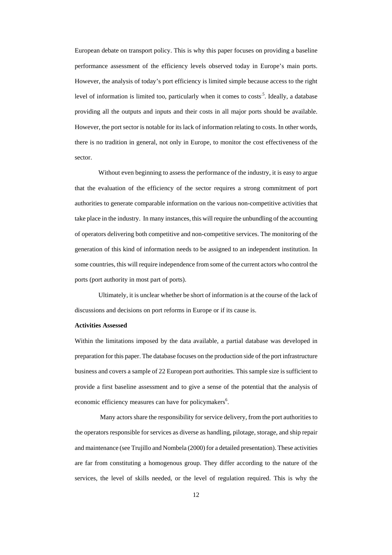European debate on transport policy. This is why this paper focuses on providing a baseline performance assessment of the efficiency levels observed today in Europe's main ports. However, the analysis of today's port efficiency is limited simple because access to the right level of information is limited too, particularly when it comes to costs<sup>5</sup>. Ideally, a database providing all the outputs and inputs and their costs in all major ports should be available. However, the port sector is notable for its lack of information relating to costs. In other words, there is no tradition in general, not only in Europe, to monitor the cost effectiveness of the sector.

Without even beginning to assess the performance of the industry, it is easy to argue that the evaluation of the efficiency of the sector requires a strong commitment of port authorities to generate comparable information on the various non-competitive activities that take place in the industry. In many instances, this will require the unbundling of the accounting of operators delivering both competitive and non-competitive services. The monitoring of the generation of this kind of information needs to be assigned to an independent institution. In some countries, this will require independence from some of the current actors who control the ports (port authority in most part of ports).

Ultimately, it is unclear whether be short of information is at the course of the lack of discussions and decisions on port reforms in Europe or if its cause is.

#### **Activities Assessed**

Within the limitations imposed by the data available, a partial database was developed in preparation for this paper. The database focuses on the production side of the port infrastructure business and covers a sample of 22 European port authorities. This sample size is sufficient to provide a first baseline assessment and to give a sense of the potential that the analysis of economic efficiency measures can have for policymakers<sup>[6](#page-30-5)</sup>.

 Many actors share the responsibility for service delivery, from the port authorities to the operators responsible for services as diverse as handling, pilotage, storage, and ship repair and maintenance (see Trujillo and Nombela (2000) for a detailed presentation). These activities are far from constituting a homogenous group. They differ according to the nature of the services, the level of skills needed, or the level of regulation required. This is why the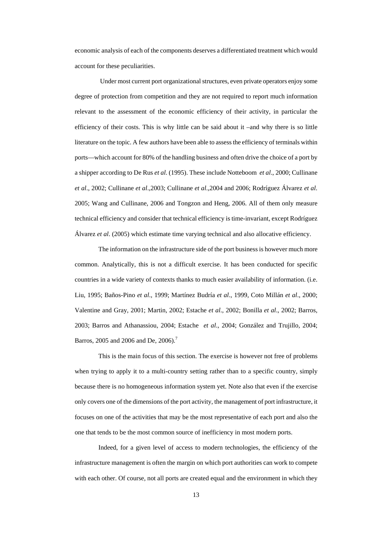economic analysis of each of the components deserves a differentiated treatment which would account for these peculiarities.

 Under most current port organizational structures, even private operators enjoy some degree of protection from competition and they are not required to report much information relevant to the assessment of the economic efficiency of their activity, in particular the efficiency of their costs. This is why little can be said about it –and why there is so little literature on the topic. A few authors have been able to assess the efficiency of terminals within ports—which account for 80% of the handling business and often drive the choice of a port by a shipper according to De Rus *et al*. (1995). These include Notteboom *et al*., 2000; Cullinane *et al*., 2002; Cullinane *et al*.,2003; Cullinane *et al*.,2004 and 2006; Rodríguez Álvarez *et al*. 2005; Wang and Cullinane, 2006 and Tongzon and Heng, 2006. All of them only measure technical efficiency and consider that technical efficiency is time-invariant, except Rodríguez Álvarez *et al*. (2005) which estimate time varying technical and also allocative efficiency.

The information on the infrastructure side of the port business is however much more common. Analytically, this is not a difficult exercise. It has been conducted for specific countries in a wide variety of contexts thanks to much easier availability of information. (i.e. Liu, 1995; Baños-Pino *et al*., 1999; Martínez Budría *et al*., 1999, Coto Millán *et al*., 2000; Valentine and Gray, 2001; Martin, 2002; Estache *et al*., 2002; Bonilla *et al*., 2002; Barros, 2003; Barros and Athanassiou, 2004; Estache *et al*., 2004; González and Trujillo, 2004; Barros, 2005 and 2006 and De, 2006).<sup>7</sup>

This is the main focus of this section. The exercise is however not free of problems when trying to apply it to a multi-country setting rather than to a specific country, simply because there is no homogeneous information system yet. Note also that even if the exercise only covers one of the dimensions of the port activity, the management of port infrastructure, it focuses on one of the activities that may be the most representative of each port and also the one that tends to be the most common source of inefficiency in most modern ports.

Indeed, for a given level of access to modern technologies, the efficiency of the infrastructure management is often the margin on which port authorities can work to compete with each other. Of course, not all ports are created equal and the environment in which they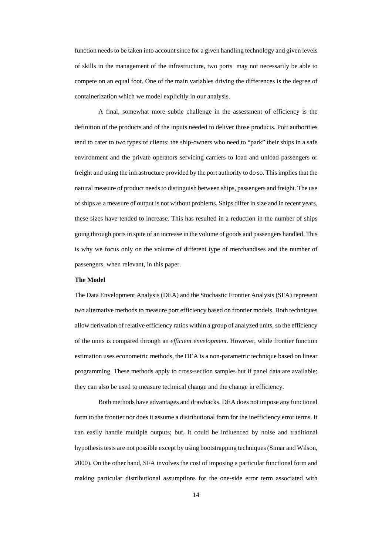function needs to be taken into account since for a given handling technology and given levels of skills in the management of the infrastructure, two ports may not necessarily be able to compete on an equal foot. One of the main variables driving the differences is the degree of containerization which we model explicitly in our analysis.

A final, somewhat more subtle challenge in the assessment of efficiency is the definition of the products and of the inputs needed to deliver those products. Port authorities tend to cater to two types of clients: the ship-owners who need to "park" their ships in a safe environment and the private operators servicing carriers to load and unload passengers or freight and using the infrastructure provided by the port authority to do so. This implies that the natural measure of product needs to distinguish between ships, passengers and freight. The use of ships as a measure of output is not without problems. Ships differ in size and in recent years, these sizes have tended to increase. This has resulted in a reduction in the number of ships going through ports in spite of an increase in the volume of goods and passengers handled. This is why we focus only on the volume of different type of merchandises and the number of passengers, when relevant, in this paper.

### **The Model**

The Data Envelopment Analysis (DEA) and the Stochastic Frontier Analysis (SFA) represent two alternative methods to measure port efficiency based on frontier models. Both techniques allow derivation of relative efficiency ratios within a group of analyzed units, so the efficiency of the units is compared through an *efficient envelopment.* However, while frontier function estimation uses econometric methods, the DEA is a non-parametric technique based on linear programming. These methods apply to cross-section samples but if panel data are available; they can also be used to measure technical change and the change in efficiency.

Both methods have advantages and drawbacks. DEA does not impose any functional form to the frontier nor does it assume a distributional form for the inefficiency error terms. It can easily handle multiple outputs; but, it could be influenced by noise and traditional hypothesis tests are not possible except by using bootstrapping techniques (Simar and Wilson, 2000). On the other hand, SFA involves the cost of imposing a particular functional form and making particular distributional assumptions for the one-side error term associated with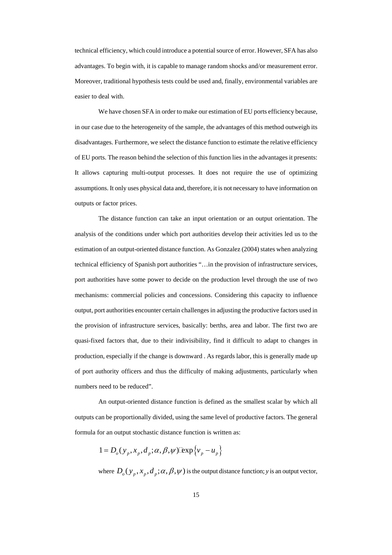technical efficiency, which could introduce a potential source of error. However, SFA has also advantages. To begin with, it is capable to manage random shocks and/or measurement error. Moreover, traditional hypothesis tests could be used and, finally, environmental variables are easier to deal with.

We have chosen SFA in order to make our estimation of EU ports efficiency because, in our case due to the heterogeneity of the sample, the advantages of this method outweigh its disadvantages. Furthermore, we select the distance function to estimate the relative efficiency of EU ports. The reason behind the selection of this function lies in the advantages it presents: It allows capturing multi-output processes. It does not require the use of optimizing assumptions. It only uses physical data and, therefore, it is not necessary to have information on outputs or factor prices.

The distance function can take an input orientation or an output orientation. The analysis of the conditions under which port authorities develop their activities led us to the estimation of an output-oriented distance function. As Gonzalez (2004) states when analyzing technical efficiency of Spanish port authorities "…in the provision of infrastructure services, port authorities have some power to decide on the production level through the use of two mechanisms: commercial policies and concessions. Considering this capacity to influence output, port authorities encounter certain challenges in adjusting the productive factors used in the provision of infrastructure services, basically: berths, area and labor. The first two are quasi-fixed factors that, due to their indivisibility, find it difficult to adapt to changes in production, especially if the change is downward . As regards labor, this is generally made up of port authority officers and thus the difficulty of making adjustments, particularly when numbers need to be reduced".

An output-oriented distance function is defined as the smallest scalar by which all outputs can be proportionally divided, using the same level of productive factors. The general formula for an output stochastic distance function is written as:

$$
1 = D_o(y_p, x_p, d_p; \alpha, \beta, \psi) \exp\{v_p - u_p\}
$$

where  $D_0(y_n, x_n, d_n; \alpha, \beta, \psi)$  is the output distance function; *y* is an output vector,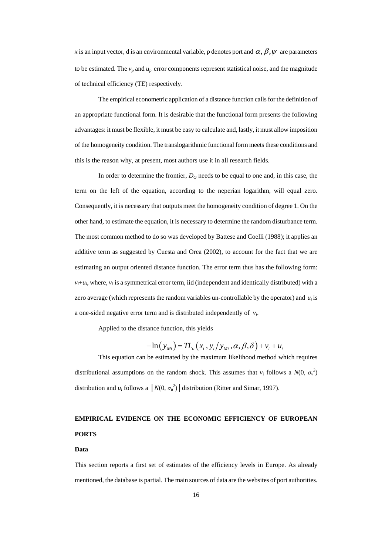*x* is an input vector, d is an environmental variable, p denotes port and  $\alpha$ ,  $\beta$ ,  $\psi$  are parameters to be estimated. The  $v_p$  and  $u_p$  error components represent statistical noise, and the magnitude of technical efficiency (TE) respectively.

The empirical econometric application of a distance function calls for the definition of an appropriate functional form. It is desirable that the functional form presents the following advantages: it must be flexible, it must be easy to calculate and, lastly, it must allow imposition of the homogeneity condition. The translogarithmic functional form meets these conditions and this is the reason why, at present, most authors use it in all research fields.

In order to determine the frontier,  $D<sub>O</sub>$  needs to be equal to one and, in this case, the term on the left of the equation, according to the neperian logarithm, will equal zero. Consequently, it is necessary that outputs meet the homogeneity condition of degree 1. On the other hand, to estimate the equation, it is necessary to determine the random disturbance term. The most common method to do so was developed by Battese and Coelli (1988); it applies an additive term as suggested by Cuesta and Orea (2002), to account for the fact that we are estimating an output oriented distance function. The error term thus has the following form:  $v_i + u_i$ , where,  $v_i$  is a symmetrical error term, iid (independent and identically distributed) with a zero average (which represents the random variables un-controllable by the operator) and  $u_i$  is a one-sided negative error term and is distributed independently of *vi*.

Applied to the distance function, this yields

$$
-\ln(y_{Mi}) = TL_{o}(x_{i}, y_{i}/y_{Mi}, \alpha, \beta, \delta) + v_{i} + u_{i}
$$

This equation can be estimated by the maximum likelihood method which requires distributional assumptions on the random shock. This assumes that  $v_i$  follows a  $N(0, \sigma_v^2)$ distribution and *u<sub>i</sub>* follows a  $\left| N(0, \sigma_u^2) \right|$  distribution (Ritter and Simar, 1997).

# **EMPIRICAL EVIDENCE ON THE ECONOMIC EFFICIENCY OF EUROPEAN PORTS**

#### **Data**

This section reports a first set of estimates of the efficiency levels in Europe. As already mentioned, the database is partial. The main sources of data are the websites of port authorities.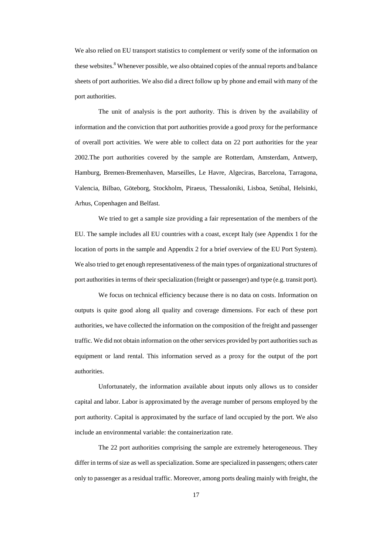We also relied on EU transport statistics to complement or verify some of the information on these websites.<sup>[8](#page-30-7)</sup> Whenever possible, we also obtained copies of the annual reports and balance sheets of port authorities. We also did a direct follow up by phone and email with many of the port authorities.

The unit of analysis is the port authority. This is driven by the availability of information and the conviction that port authorities provide a good proxy for the performance of overall port activities. We were able to collect data on 22 port authorities for the year 2002.The port authorities covered by the sample are Rotterdam, Amsterdam, Antwerp, Hamburg, Bremen-Bremenhaven, Marseilles, Le Havre, Algeciras, Barcelona, Tarragona, Valencia, Bilbao, Göteborg, Stockholm, Piraeus, Thessaloniki, Lisboa, Setúbal, Helsinki, Arhus, Copenhagen and Belfast.

We tried to get a sample size providing a fair representation of the members of the EU. The sample includes all EU countries with a coast, except Italy (see Appendix 1 for the location of ports in the sample and Appendix 2 for a brief overview of the EU Port System). We also tried to get enough representativeness of the main types of organizational structures of port authorities in terms of their specialization (freight or passenger) and type (e.g. transit port).

We focus on technical efficiency because there is no data on costs. Information on outputs is quite good along all quality and coverage dimensions. For each of these port authorities, we have collected the information on the composition of the freight and passenger traffic. We did not obtain information on the other services provided by port authorities such as equipment or land rental. This information served as a proxy for the output of the port authorities.

Unfortunately, the information available about inputs only allows us to consider capital and labor. Labor is approximated by the average number of persons employed by the port authority. Capital is approximated by the surface of land occupied by the port. We also include an environmental variable: the containerization rate.

The 22 port authorities comprising the sample are extremely heterogeneous. They differ in terms of size as well as specialization. Some are specialized in passengers; others cater only to passenger as a residual traffic. Moreover, among ports dealing mainly with freight, the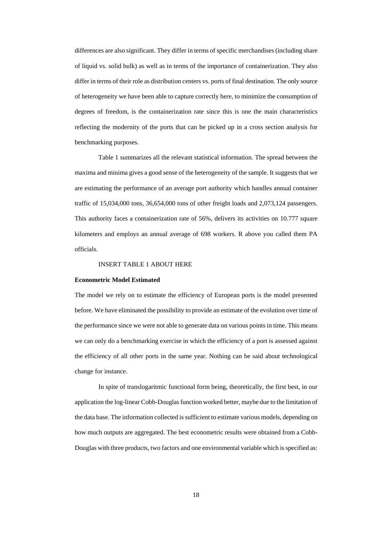differences are also significant. They differ in terms of specific merchandises (including share of liquid vs. solid bulk) as well as in terms of the importance of containerization. They also differ in terms of their role as distribution centers vs. ports of final destination. The only source of heterogeneity we have been able to capture correctly here, to minimize the consumption of degrees of freedom, is the containerization rate since this is one the main characteristics reflecting the modernity of the ports that can be picked up in a cross section analysis for benchmarking purposes.

Table 1 summarizes all the relevant statistical information. The spread between the maxima and minima gives a good sense of the heterogeneity of the sample. It suggests that we are estimating the performance of an average port authority which handles annual container traffic of 15,034,000 tons, 36,654,000 tons of other freight loads and 2,073,124 passengers. This authority faces a containerization rate of 56%, delivers its activities on 10.777 square kilometers and employs an annual average of 698 workers. R above you called them PA officials.

## INSERT TABLE 1 ABOUT HERE

### **Econometric Model Estimated**

The model we rely on to estimate the efficiency of European ports is the model presented before. We have eliminated the possibility to provide an estimate of the evolution over time of the performance since we were not able to generate data on various points in time. This means we can only do a benchmarking exercise in which the efficiency of a port is assessed against the efficiency of all other ports in the same year. Nothing can be said about technological change for instance.

In spite of translogaritmic functional form being, theoretically, the first best, in our application the log-linear Cobb-Douglas function worked better, maybe due to the limitation of the data base. The information collected is sufficient to estimate various models, depending on how much outputs are aggregated. The best econometric results were obtained from a Cobb-Douglas with three products, two factors and one environmental variable which is specified as: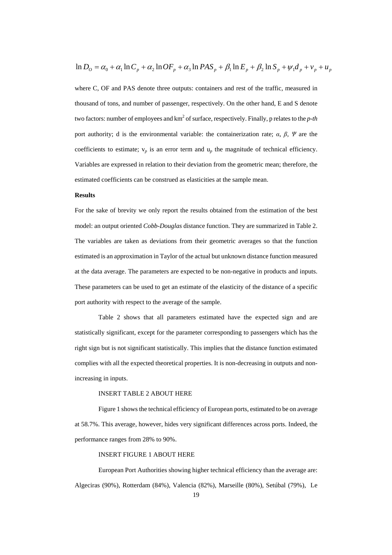$$
\ln D_o = \alpha_0 + \alpha_1 \ln C_p + \alpha_2 \ln O F_p + \alpha_3 \ln P A S_p + \beta_1 \ln E_p + \beta_2 \ln S_p + \psi_1 d_p + \nu_p + u_p
$$

where C, OF and PAS denote three outputs: containers and rest of the traffic, measured in thousand of tons, and number of passenger, respectively. On the other hand, E and S denote two factors: number of employees and km<sup>2</sup> of surface, respectively. Finally, p relates to the *p-th* port authority; d is the environmental variable: the containerization rate;  $\alpha$ ,  $\beta$ ,  $\Psi$  are the coefficients to estimate;  $v_p$  is an error term and  $u_p$  the magnitude of technical efficiency. Variables are expressed in relation to their deviation from the geometric mean; therefore, the estimated coefficients can be construed as elasticities at the sample mean.

### **Results**

For the sake of brevity we only report the results obtained from the estimation of the best model: an output oriented *Cobb-Douglas* distance function. They are summarized in Table 2. The variables are taken as deviations from their geometric averages so that the function estimated is an approximation in Taylor of the actual but unknown distance function measured at the data average. The parameters are expected to be non-negative in products and inputs. These parameters can be used to get an estimate of the elasticity of the distance of a specific port authority with respect to the average of the sample.

Table 2 shows that all parameters estimated have the expected sign and are statistically significant, except for the parameter corresponding to passengers which has the right sign but is not significant statistically. This implies that the distance function estimated complies with all the expected theoretical properties. It is non-decreasing in outputs and nonincreasing in inputs.

## INSERT TABLE 2 ABOUT HERE

Figure 1 shows the technical efficiency of European ports, estimated to be on average at 58.7%. This average, however, hides very significant differences across ports. Indeed, the performance ranges from 28% to 90%.

#### INSERT FIGURE 1 ABOUT HERE

European Port Authorities showing higher technical efficiency than the average are: Algeciras (90%), Rotterdam (84%), Valencia (82%), Marseille (80%), Setúbal (79%), Le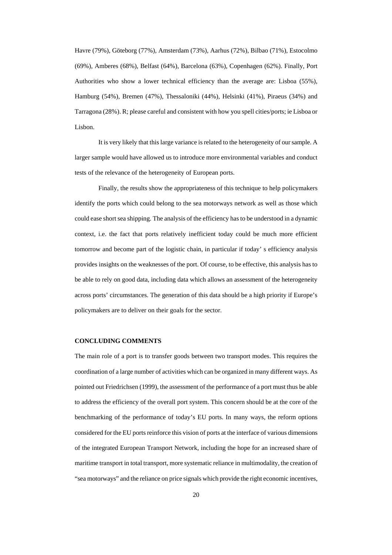Havre (79%), Göteborg (77%), Amsterdam (73%), Aarhus (72%), Bilbao (71%), Estocolmo (69%), Amberes (68%), Belfast (64%), Barcelona (63%), Copenhagen (62%). Finally, Port Authorities who show a lower technical efficiency than the average are: Lisboa (55%), Hamburg (54%), Bremen (47%), Thessaloniki (44%), Helsinki (41%), Piraeus (34%) and Tarragona (28%). R; please careful and consistent with how you spell cities/ports; ie Lisboa or Lisbon.

It is very likely that this large variance is related to the heterogeneity of our sample. A larger sample would have allowed us to introduce more environmental variables and conduct tests of the relevance of the heterogeneity of European ports.

Finally, the results show the appropriateness of this technique to help policymakers identify the ports which could belong to the sea motorways network as well as those which could ease short sea shipping. The analysis of the efficiency has to be understood in a dynamic context, i.e. the fact that ports relatively inefficient today could be much more efficient tomorrow and become part of the logistic chain, in particular if today' s efficiency analysis provides insights on the weaknesses of the port. Of course, to be effective, this analysis has to be able to rely on good data, including data which allows an assessment of the heterogeneity across ports' circumstances. The generation of this data should be a high priority if Europe's policymakers are to deliver on their goals for the sector.

#### **CONCLUDING COMMENTS**

The main role of a port is to transfer goods between two transport modes. This requires the coordination of a large number of activities which can be organized in many different ways. As pointed out Friedrichsen (1999), the assessment of the performance of a port must thus be able to address the efficiency of the overall port system. This concern should be at the core of the benchmarking of the performance of today's EU ports. In many ways, the reform options considered for the EU ports reinforce this vision of ports at the interface of various dimensions of the integrated European Transport Network, including the hope for an increased share of maritime transport in total transport, more systematic reliance in multimodality, the creation of "sea motorways" and the reliance on price signals which provide the right economic incentives,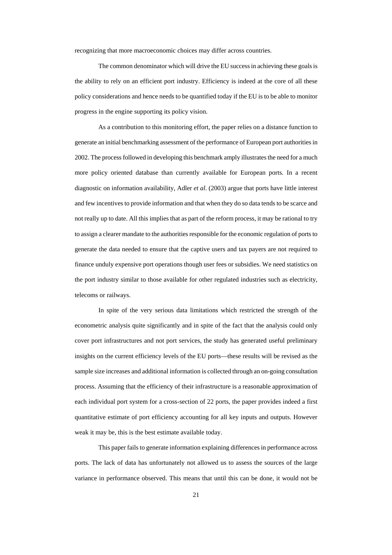recognizing that more macroeconomic choices may differ across countries.

The common denominator which will drive the EU success in achieving these goals is the ability to rely on an efficient port industry. Efficiency is indeed at the core of all these policy considerations and hence needs to be quantified today if the EU is to be able to monitor progress in the engine supporting its policy vision.

As a contribution to this monitoring effort, the paper relies on a distance function to generate an initial benchmarking assessment of the performance of European port authorities in 2002. The process followed in developing this benchmark amply illustrates the need for a much more policy oriented database than currently available for European ports. In a recent diagnostic on information availability, Adler *et al*. (2003) argue that ports have little interest and few incentives to provide information and that when they do so data tends to be scarce and not really up to date. All this implies that as part of the reform process, it may be rational to try to assign a clearer mandate to the authorities responsible for the economic regulation of ports to generate the data needed to ensure that the captive users and tax payers are not required to finance unduly expensive port operations though user fees or subsidies. We need statistics on the port industry similar to those available for other regulated industries such as electricity, telecoms or railways.

In spite of the very serious data limitations which restricted the strength of the econometric analysis quite significantly and in spite of the fact that the analysis could only cover port infrastructures and not port services, the study has generated useful preliminary insights on the current efficiency levels of the EU ports—these results will be revised as the sample size increases and additional information is collected through an on-going consultation process. Assuming that the efficiency of their infrastructure is a reasonable approximation of each individual port system for a cross-section of 22 ports, the paper provides indeed a first quantitative estimate of port efficiency accounting for all key inputs and outputs. However weak it may be, this is the best estimate available today.

This paper fails to generate information explaining differences in performance across ports. The lack of data has unfortunately not allowed us to assess the sources of the large variance in performance observed. This means that until this can be done, it would not be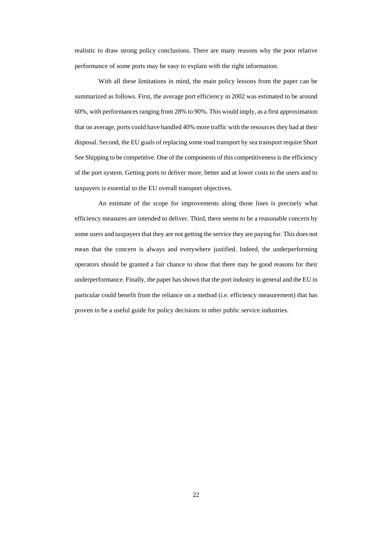realistic to draw strong policy conclusions. There are many reasons why the poor relative performance of some ports may be easy to explain with the right information.

With all these limitations in mind, the main policy lessons from the paper can be summarized as follows. First, the average port efficiency in 2002 was estimated to be around 60%, with performances ranging from 28% to 90%. This would imply, as a first approximation that on average, ports could have handled 40% more traffic with the resources they had at their disposal. Second, the EU goals of replacing some road transport by sea transport require Short See Shipping to be competitive. One of the components of this competitiveness is the efficiency of the port system. Getting ports to deliver more, better and at lower costs to the users and to taxpayers is essential to the EU overall transport objectives.

An estimate of the scope for improvements along those lines is precisely what efficiency measures are intended to deliver. Third, there seems to be a reasonable concern by some users and taxpayers that they are not getting the service they are paying for. This does not mean that the concern is always and everywhere justified. Indeed, the underperforming operators should be granted a fair chance to show that there may be good reasons for their underperformance. Finally, the paper has shown that the port industry in general and the EU in particular could benefit from the reliance on a method (i.e. efficiency measurement) that has proven to be a useful guide for policy decisions in other public service industries.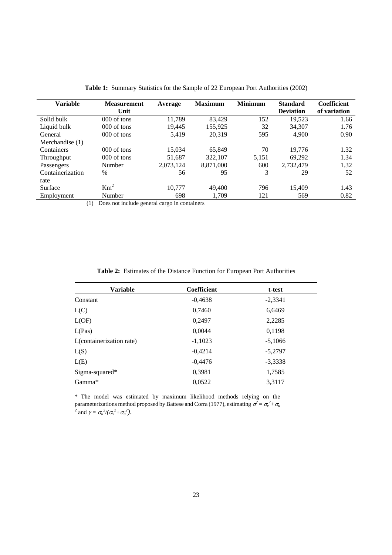| <b>Variable</b>  | <b>Measurement</b>                                 | Average   | <b>Maximum</b> | <b>Minimum</b> | <b>Standard</b>  | Coefficient  |
|------------------|----------------------------------------------------|-----------|----------------|----------------|------------------|--------------|
|                  | Unit                                               |           |                |                | <b>Deviation</b> | of variation |
| Solid bulk       | $000$ of tons                                      | 11.789    | 83.429         | 152            | 19.523           | 1.66         |
| Liquid bulk      | 000 of tons                                        | 19.445    | 155,925        | 32             | 34.307           | 1.76         |
| General          | $000$ of tons                                      | 5.419     | 20.319         | 595            | 4.900            | 0.90         |
| Merchandise (1)  |                                                    |           |                |                |                  |              |
| Containers       | $000$ of tons                                      | 15.034    | 65,849         | 70             | 19.776           | 1.32         |
| Throughput       | $000$ of tons                                      | 51.687    | 322,107        | 5,151          | 69,292           | 1.34         |
| Passengers       | Number                                             | 2,073,124 | 8.871.000      | 600            | 2,732,479        | 1.32         |
| Containerization | $\%$                                               | 56        | 95             | 3              | 29               | 52           |
| rate             |                                                    |           |                |                |                  |              |
| Surface          | Km <sup>2</sup>                                    | 10.777    | 49,400         | 796            | 15.409           | 1.43         |
| Employment       | Number                                             | 698       | 1.709          | 121            | 569              | 0.82         |
|                  | $(1)$ Dees not include general earge in containers |           |                |                |                  |              |

**Table 1:** Summary Statistics for the Sample of 22 European Port Authorities (2002)

(1) Does not include general cargo in containers

|  |  |  |  |  |  |  |  | <b>Table 2:</b> Estimates of the Distance Function for European Port Authorities |
|--|--|--|--|--|--|--|--|----------------------------------------------------------------------------------|
|--|--|--|--|--|--|--|--|----------------------------------------------------------------------------------|

| <b>Variable</b>          | Coefficient | t-test    |
|--------------------------|-------------|-----------|
| Constant                 | $-0,4638$   | $-2,3341$ |
| L(C)                     | 0,7460      | 6,6469    |
| L(OF)                    | 0,2497      | 2,2285    |
| L(Pas)                   | 0,0044      | 0,1198    |
| L(containerization rate) | $-1,1023$   | $-5,1066$ |
| L(S)                     | $-0,4214$   | $-5,2797$ |
| L(E)                     | $-0,4476$   | $-3,3338$ |
| Sigma-squared*           | 0.3981      | 1,7585    |
| Gamma*                   | 0,0522      | 3,3117    |

\* The model was estimated by maximum likelihood methods relying on the parameterizations method proposed by Battese and Corra (1977), estimating  $\sigma^2 = \sigma_v^2 + \sigma_u$ <br><sup>2</sup> and  $\gamma = \sigma_u^2/(\sigma_v^2 + \sigma_u^2)$ .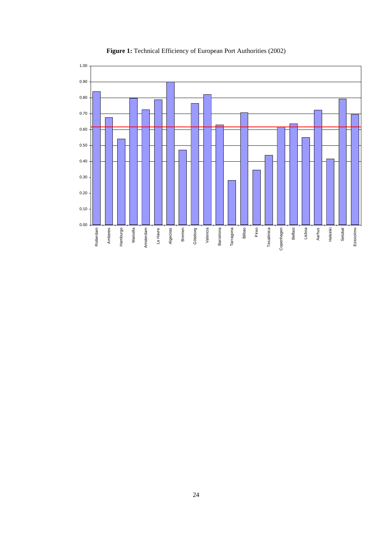

**Figure 1:** Technical Efficiency of European Port Authorities (2002)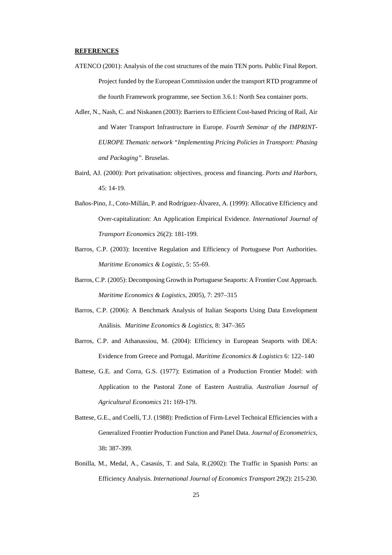## **REFERENCES**

- ATENCO (2001): Analysis of the cost structures of the main TEN ports. Public Final Report. Project funded by the European Commission under the transport RTD programme of the fourth Framework programme, see Section 3.6.1: North Sea container ports.
- Adler, N., Nash, C. and Niskanen (2003): Barriers to Efficient Cost-based Pricing of Rail, Air and Water Transport Infrastructure in Europe. *Fourth Seminar of the IMPRINT-EUROPE Thematic network "Implementing Pricing Policies in Transport: Phasing and Packaging"*. Bruselas.
- Baird, AJ. (2000): Port privatisation: objectives, process and financing. *Ports and Harbors,*  45: 14-19.
- Baños-Pino, J., Coto-Millán, P. and Rodríguez-Álvarez, A. (1999): Allocative Efficiency and Over-capitalization: An Application Empirical Evidence. *International Journal of Transport Economics* 26(2): 181-199.
- Barros, C.P. (2003): Incentive Regulation and Efficiency of Portuguese Port Authorities. *Maritime Economics & Logistic,* 5: 55-69.
- Barros, C.P. (2005): Decomposing Growth in Portuguese Seaports: A Frontier Cost Approach. *Maritime Economics & Logistics*, 2005), 7: 297–315
- Barros, C.P. (2006): A Benchmark Analysis of Italian Seaports Using Data Envelopment Análisis. *Maritime Economics & Logistics*, 8: 347–365
- Barros, C.P. and Athanassiou, M. (2004): Efficiency in European Seaports with DEA: Evidence from Greece and Portugal. *Maritime Economics & Logistics* 6: 122–140
- Battese, G.E. and Corra, G.S. (1977): Estimation of a Production Frontier Model: with Application to the Pastoral Zone of Eastern Australia. *Australian Journal of Agricultural Economics* 21**:** 169-179.
- Battese, G.E., and Coelli, T.J. (1988): Prediction of Firm-Level Technical Efficiencies with a Generalized Frontier Production Function and Panel Data. *Journal of Econometrics*, 38**:** 387-399.
- Bonilla, M., Medal, A., Casasús, T. and Sala, R.(2002): The Traffic in Spanish Ports: an Efficiency Analysis. *International Journal of Economics Transport* 29(2): 215-230.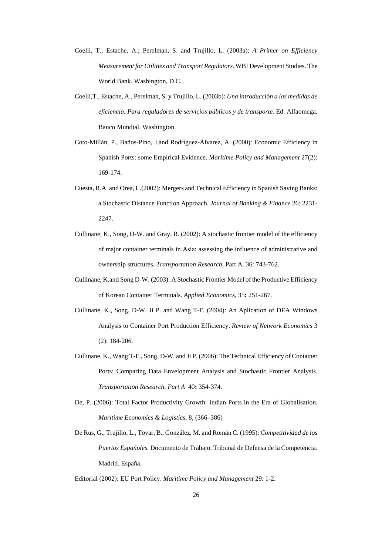- Coelli, T.; Estache, A.; Perelman, S. and Trujillo, L. (2003a): *A Primer on Efficiency Measurement for Utilities and Transport Regulators*. WBI Development Studies. The World Bank. Washington, D.C.
- Coelli,T., Estache, A., Perelman, S. y Trujillo, L. (2003b): *Una introducción a las medidas de eficiencia. Para reguladores de servicios públicos y de transporte.* Ed. Alfaomega. Banco Mundial. Washington.
- Coto-Millán, P., Baños-Pino, J.and Rodríguez-Álvarez, A. (2000): Economic Efficiency in Spanish Ports: some Empirical Evidence. *Maritime Policy and Management* 27(2): 169-174.
- Cuesta, R.A. and Orea, L.(2002): Mergers and Technical Efficiency in Spanish Saving Banks: a Stochastic Distance Function Approach. *Journal of Banking & Finance* 26: 2231- 2247.
- Cullinane, K., Song, D-W. and Gray, R. (2002): A stochastic frontier model of the efficiency of major container terminals in Asia: assessing the influence of administrative and ownership structures. *Transportation Research,* Part A. 36: 743-762.
- Cullinane, K.and Song D-W. (2003): A Stochastic Frontier Model of the Productive Efficiency of Korean Container Terminals. *Applied Economics,* 35**:** 251-267.
- Cullinane, K., Song, D-W. Ji P. and Wang T-F. (2004): An Aplication of DEA Windows Analysis to Container Port Production Efficiency. *Review of Network Economics* 3 (2): 184-206.
- Cullinane, K., Wang T-F., Song, D-W. and Ji P. (2006): The Technical Efficiency of Container Ports: Comparing Data Envelopment Analysis and Stochastic Frontier Analysis. *Transportation Research, Part A* 40**:** 354-374.
- De, P. (2006): Total Factor Productivity Growth: Indian Ports in the Era of Globalisation. *Maritime Economics & Logistics*, 8, (366–386)
- De Rus, G., Trujillo, L., Tovar, B., González, M. and Román C. (1995): *Competitividad de los Puertos Españoles*. Documento de Trabajo. Tribunal de Defensa de la Competencia. Madrid. España.
- Editorial (2002): EU Port Policy. *Maritime Policy and Management* 29: 1-2.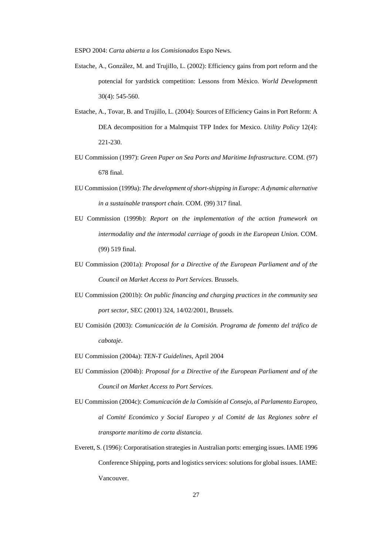ESPO 2004: *Carta abierta a los Comisionados* Espo News.

- Estache, A., González, M. and Trujillo, L. (2002): Efficiency gains from port reform and the potencial for yardstick competition: Lessons from México. *World Development*t 30(4): 545-560.
- Estache, A., Tovar, B. and Trujillo, L. (2004): Sources of Efficiency Gains in Port Reform: A DEA decomposition for a Malmquist TFP Index for Mexico. *Utility Policy* 12(4): 221-230.
- EU Commission (1997): *Green Paper on Sea Ports and Maritime Infrastructure*. COM. (97) 678 final.
- EU Commission (1999a): *The development of short-shipping in Europe: A dynamic alternative in a sustainable transport chain*. COM. (99) 317 final.
- EU Commission (1999b): *Report on the implementation of the action framework on*  intermodality and the intermodal carriage of goods in the European Union. COM. (99) 519 final.
- EU Commission (2001a): *Proposal for a Directive of the European Parliament and of the Council on Market Access to Port Services*. Brussels.
- EU Commission (2001b): *On public financing and charging practices in the community sea port sector*, SEC (2001) 324, 14/02/2001, Brussels.
- EU Comisión (2003): *Comunicación de la Comisión. Programa de fomento del tráfico de cabotaje*.
- EU Commission (2004a): *TEN-T Guidelines*, April 2004
- EU Commission (2004b): *Proposal for a Directive of the European Parliament and of the Council on Market Access to Port Services*.
- EU Commission (2004c): *Comunicación de la Comisión al Consejo, al Parlamento Europeo, al Comité Económico y Social Europeo y al Comité de las Regiones sobre el transporte marítimo de corta distancia.*
- Everett, S. (1996): Corporatisation strategies in Australian ports: emerging issues. IAME 1996 Conference Shipping, ports and logistics services: solutions for global issues. IAME: Vancouver.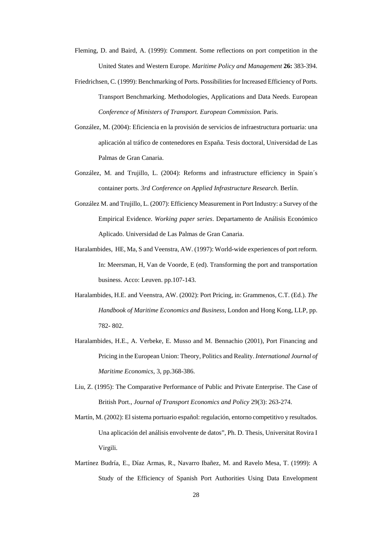- Fleming, D. and Baird, A. (1999): Comment. Some reflections on port competition in the United States and Western Europe. *Maritime Policy and Management* **26:** 383-394.
- Friedrichsen, C. (1999): Benchmarking of Ports. Possibilities for Increased Efficiency of Ports. Transport Benchmarking. Methodologies, Applications and Data Needs. European *Conference of Ministers of Transport. European Commission.* Paris.
- González, M. (2004): Eficiencia en la provisión de servicios de infraestructura portuaria: una aplicación al tráfico de contenedores en España. Tesis doctoral, Universidad de Las Palmas de Gran Canaria.
- González, M. and Trujillo, L. (2004): Reforms and infrastructure efficiency in Spain´s container ports. *3rd Conference on Applied Infrastructure Research*. Berlín.
- González M. and Trujillo, L. (2007): Efficiency Measurement in Port Industry: a Survey of the Empirical Evidence. *Working paper series*. Departamento de Análisis Económico Aplicado. Universidad de Las Palmas de Gran Canaria.
- Haralambides, HE, Ma, S and Veenstra, AW. (1997): World-wide experiences of port reform. In: Meersman, H, Van de Voorde, E (ed). Transforming the port and transportation business. Acco: Leuven. pp.107-143.
- Haralambides, H.E. and Veenstra, AW. (2002): Port Pricing, in: Grammenos, C.T. (Ed.). *The Handbook of Maritime Economics and Business*, London and Hong Kong, LLP, pp. 782- 802.
- Haralambides, H.E., A. Verbeke, E. Musso and M. Bennachio (2001), Port Financing and Pricing in the European Union: Theory, Politics and Reality. *International Journal of Maritime Economics*, 3, pp.368-386.
- Liu, Z. (1995): The Comparative Performance of Public and Private Enterprise. The Case of British Port., *Journal of Transport Economics and Policy* 29(3): 263-274.
- Martín, M. (2002): El sistema portuario español: regulación, entorno competitivo y resultados. Una aplicación del análisis envolvente de datos", Ph. D. Thesis, Universitat Rovira I Virgili.
- Martínez Budría, E., Díaz Armas, R., Navarro Ibañez, M. and Ravelo Mesa, T. (1999): A Study of the Efficiency of Spanish Port Authorities Using Data Envelopment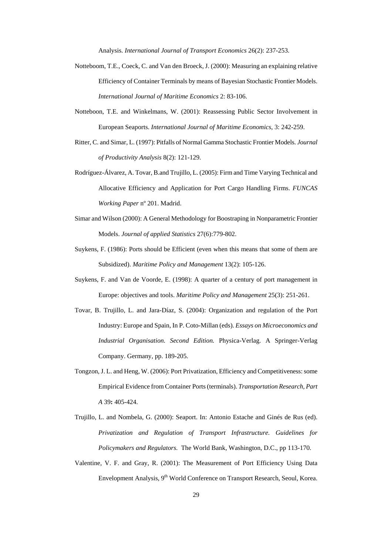Analysis. *International Journal of Transport Economics* 26(2): 237-253.

- Notteboom, T.E., Coeck, C. and Van den Broeck, J. (2000): Measuring an explaining relative Efficiency of Container Terminals by means of Bayesian Stochastic Frontier Models. *International Journal of Maritime Economics* 2: 83-106.
- Notteboon, T.E. and Winkelmans, W. (2001): Reassessing Public Sector Involvement in European Seaports. *International Journal of Maritime Economics*, 3: 242-259.
- Ritter, C. and Simar, L. (1997): Pitfalls of Normal Gamma Stochastic Frontier Models. *Journal of Productivity Analysis* 8(2): 121-129.
- Rodríguez-Álvarez, A. Tovar, B.and Trujillo, L. (2005): Firm and Time Varying Technical and Allocative Efficiency and Application for Port Cargo Handling Firms. *FUNCAS Working Paper* nº 201. Madrid.
- Simar and Wilson (2000): A General Methodology for Boostraping in Nonparametric Frontier Models. *Journal of applied Statistics* 27(6):779-802.
- Suykens, F. (1986): Ports should be Efficient (even when this means that some of them are Subsidized). *Maritime Policy and Management* 13(2): 105-126.
- Suykens, F. and Van de Voorde, E. (1998): A quarter of a century of port management in Europe: objectives and tools. *Maritime Policy and Management* 25(3): 251-261.
- Tovar, B. Trujillo, L. and Jara-Díaz, S. (2004): Organization and regulation of the Port Industry: Europe and Spain, In P. Coto-Millan (eds). *Essays on Microeconomics and Industrial Organisation. Second Edition.* Physica-Verlag. A Springer-Verlag Company. Germany, pp. 189-205.
- Tongzon, J. L. and Heng, W. (2006): Port Privatization, Efficiency and Competitiveness: some Empirical Evidence from Container Ports (terminals). *Transportation Research, Part A* 39**:** 405-424.
- Trujillo, L. and Nombela, G. (2000): Seaport. In: Antonio Estache and Ginés de Rus (ed). *Privatization and Regulation of Transport Infrastructure. Guidelines for Policymakers and Regulators.* The World Bank, Washington, D.C., pp 113-170.
- Valentine, V. F. and Gray, R. (2001): The Measurement of Port Efficiency Using Data Envelopment Analysis, 9<sup>th</sup> World Conference on Transport Research, Seoul, Korea.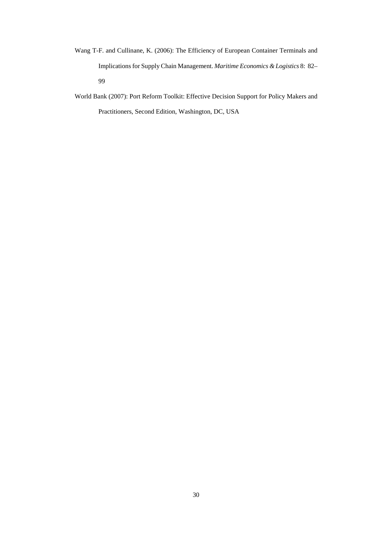- Wang T-F. and Cullinane, K. (2006): The Efficiency of European Container Terminals and Implications for Supply Chain Management. *Maritime Economics & Logistics* 8: 82– 99
- World Bank (2007): Port Reform Toolkit: Effective Decision Support for Policy Makers and Practitioners, Second Edition, Washington, DC, USA